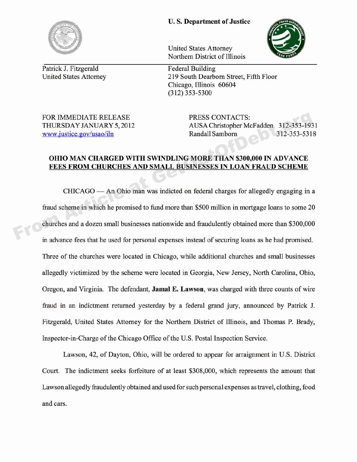## **U. S. Department of Justice**



Patrick J. Fitzgerald Federal Building

United States Attorney Northern District of Illinois

United States Attorney 219 South Dearborn Street, Fifth Floor Chicago, Illinois 60604 (312) 353-5300

FOR IMMEDIATE RELEASE PRESS CONTACTS:

THURSDAY JANUARY 5, 2012 AUSA Christopher McFadden 312-353-1931 www.justice.gov/usao/iln Randall Samborn 312-353-5318

## **OHIO MAN CHARGED WITH SWINDLING MORE THAN** \$300,000 **IN ADVANCE FEES FROM CHURCHES AND SMALL BUSINESSES IN LOAN FRAUD SCHEME**

 $CHICAGO$  — An Ohio man was indicted on federal charges for allegedly engaging in a fraud scheme in which he promised to fund more than \$500 million in mortgage loans to some 20 churches and a dozen small businesses nationwide and fraudulently obtained more than \$300,000 in advance fees that he used for personal expenses instead of securing loans as he had promised. Three of the churches were located in Chicago, while additional churches and small businesses allegedly victimized by the scheme were located in Georgia, New Jersey, North Carolina, Ohio, Oregon, and Virginia. The defendant, **Jamal E. Lawson,** was charged with three counts of wire fraud in an indictment returned yesterday by a federal grand jury, announced by Patrick J. Fitzgerald, United States Attorney for the Northern District of Illinois, and Thomas P. Brady, Inspector-in-Charge of the Chicago Office of the U.S. Postal Inspection Service. FOR IMMEDIATE RELEASE<br>
THURSDAY JANUARY 5, 2012<br>
MUSA Christopher McFadden 312-353-193<br>
MWW.justice.gov/usao/iln<br>
OHIO MAN CHARGED WITH SWINDLING MORE THAN \$300,000 IN ADVANCE<br>
FEES FROM CHURCHES AND SMALL BUSINESSES IN LO

Lawson, 42, of Dayton, Ohio, will be ordered to appear for arraignment in U.S. District Court. The indictment seeks forfeiture of at least \$308,000, which represents the amount that Lawson allegedly fraudulently obtained and used for such personal expenses as travel, clothing, food and cars.

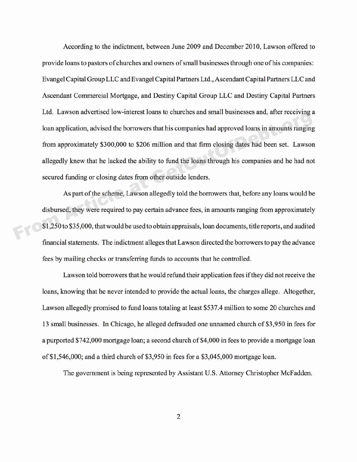According to the indictment, between June 2009 and December 2010, Lawson offered to provide loans to pastors of churches and owners of small businesses through one of his companies: Evangel Capital Group LLC and Evangel Capital Partners Ltd., Ascendant Capital Partners LLC and Ascendant Commercial Mortgage, and Destiny Capital Group LLC and Destiny Capital Partners Ltd. Lawson advertised low-interest loans to churches and small businesses and, after receiving a loan application, advised the borrowers that his companies had approved loans in amounts ranging from approximately \$300,000 to \$206 million and that firm closing dates had been set. Lawson allegedly knew that he lacked the ability to fund the loans through his companies and he had not secured funding or closing dates from other outside lenders. Example at Lawson divertised fow methods to change is detected and sind of claims of changes and sind of controls and sind, and receiving to loan application, advised the borrowers that his companies had approved loans in

As part of the scheme, Lawson allegedly told the borrowers that, before any loans would be disbursed, they were required to pay certain advance fees, in amounts ranging from approximately \$1,250 to \$35,000, that would be used to obtain appraisals, loan documents, title reports, and audited financial statements. The indictment alleges that Lawson directed the borrowers to pay the advance fees by mailing checks or transferring funds to accounts that he controlled.

Lawson told borrowers that he would refund their application fees if they did not receive the loans, knowing that he never intended to provide the actual loans, the charges allege. Altogether, Lawson allegedly promised to fund loans totaling at least \$537.4 million to some 20 churches and 13 small businesses. In Chicago, he alleged defrauded one unnamed church of \$3,950 in fees for a purported \$742,000 mortgage loan; a second church of \$4,000 in fees to provide a mortgage loan of \$1,546,000; and a third church of \$3,950 in fees for a \$3,045,000 mortgage loan.

The government is being represented by Assistant U.S. Attorney Christopher McFadden.